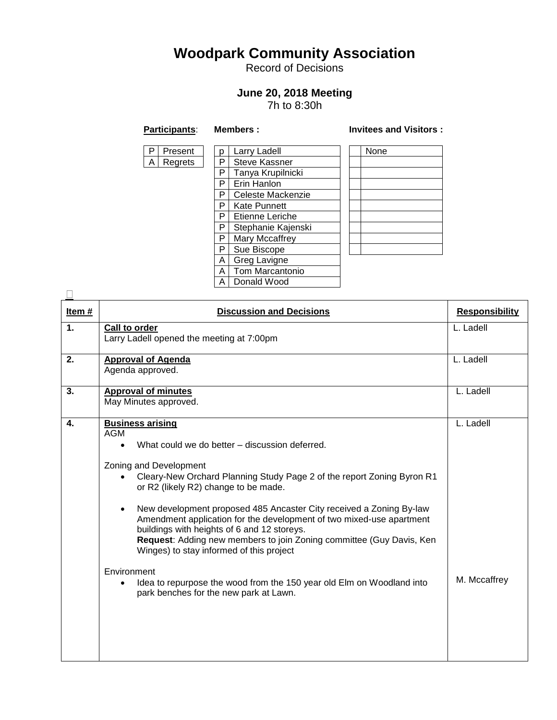## **Woodpark Community Association**

Record of Decisions

## **June 20, 2018 Meeting**

7h to 8:30h

| ۰. |
|----|

 $\frac{p}{P}$ 

 $\overline{P}$ 

 $\overline{P}$  $\frac{A}{A}$ 

## **Participants**: **Members : Invitees and Visitors :**

|                | Larry Ladell         |  | None |  |  |
|----------------|----------------------|--|------|--|--|
| p<br>P         | <b>Steve Kassner</b> |  |      |  |  |
| $\overline{P}$ | Tanya Krupilnicki    |  |      |  |  |
| $\overline{P}$ | Erin Hanlon          |  |      |  |  |
| Ρ              | Celeste Mackenzie    |  |      |  |  |
| P              | <b>Kate Punnett</b>  |  |      |  |  |
| $\overline{P}$ | Etienne Leriche      |  |      |  |  |
| $\frac{P}{P}$  | Stephanie Kajenski   |  |      |  |  |
|                | Mary Mccaffrey       |  |      |  |  |
| P              | Sue Biscope          |  |      |  |  |
| $\overline{A}$ | Greg Lavigne         |  |      |  |  |
| Ā              | Tom Marcantonio      |  |      |  |  |
| A              | Donald Wood          |  |      |  |  |
|                |                      |  |      |  |  |

| Item#          | <b>Discussion and Decisions</b>                                                                                                                                                                                                                                                                                                                                                                                                                                                                                                                                    | <b>Responsibility</b> |
|----------------|--------------------------------------------------------------------------------------------------------------------------------------------------------------------------------------------------------------------------------------------------------------------------------------------------------------------------------------------------------------------------------------------------------------------------------------------------------------------------------------------------------------------------------------------------------------------|-----------------------|
| $\mathbf{1}$ . | Call to order<br>Larry Ladell opened the meeting at 7:00pm                                                                                                                                                                                                                                                                                                                                                                                                                                                                                                         | L. Ladell             |
| 2.             | <b>Approval of Agenda</b><br>Agenda approved.                                                                                                                                                                                                                                                                                                                                                                                                                                                                                                                      | L. Ladell             |
| 3.             | <b>Approval of minutes</b><br>May Minutes approved.                                                                                                                                                                                                                                                                                                                                                                                                                                                                                                                | L. Ladell             |
| 4.             | <b>Business arising</b><br><b>AGM</b><br>What could we do better – discussion deferred.<br>Zoning and Development<br>Cleary-New Orchard Planning Study Page 2 of the report Zoning Byron R1<br>or R2 (likely R2) change to be made.<br>New development proposed 485 Ancaster City received a Zoning By-law<br>$\bullet$<br>Amendment application for the development of two mixed-use apartment<br>buildings with heights of 6 and 12 storeys.<br>Request: Adding new members to join Zoning committee (Guy Davis, Ken<br>Winges) to stay informed of this project | L. Ladell             |
|                | Environment<br>Idea to repurpose the wood from the 150 year old Elm on Woodland into<br>park benches for the new park at Lawn.                                                                                                                                                                                                                                                                                                                                                                                                                                     | M. Mccaffrey          |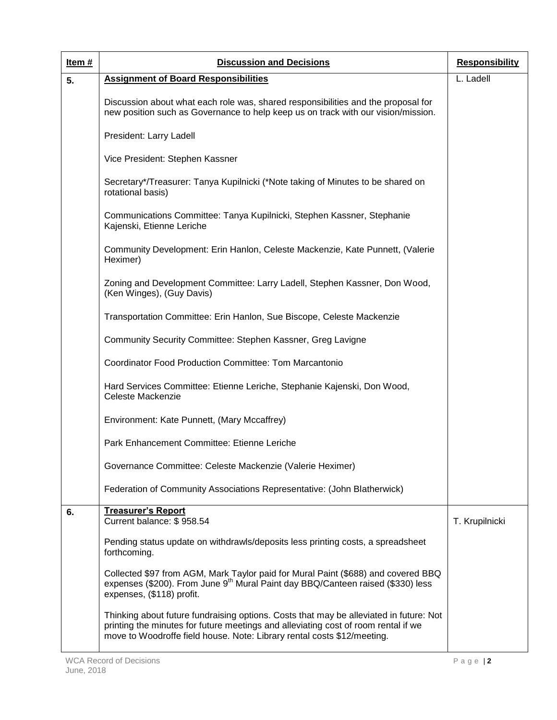| Item $#$ | <b>Discussion and Decisions</b>                                                                                                                                                                                                                         | <b>Responsibility</b> |
|----------|---------------------------------------------------------------------------------------------------------------------------------------------------------------------------------------------------------------------------------------------------------|-----------------------|
| 5.       | <b>Assignment of Board Responsibilities</b>                                                                                                                                                                                                             | L. Ladell             |
|          | Discussion about what each role was, shared responsibilities and the proposal for<br>new position such as Governance to help keep us on track with our vision/mission.                                                                                  |                       |
|          | President: Larry Ladell                                                                                                                                                                                                                                 |                       |
|          | Vice President: Stephen Kassner                                                                                                                                                                                                                         |                       |
|          | Secretary*/Treasurer: Tanya Kupilnicki (*Note taking of Minutes to be shared on<br>rotational basis)                                                                                                                                                    |                       |
|          | Communications Committee: Tanya Kupilnicki, Stephen Kassner, Stephanie<br>Kajenski, Etienne Leriche                                                                                                                                                     |                       |
|          | Community Development: Erin Hanlon, Celeste Mackenzie, Kate Punnett, (Valerie<br>Heximer)                                                                                                                                                               |                       |
|          | Zoning and Development Committee: Larry Ladell, Stephen Kassner, Don Wood,<br>(Ken Winges), (Guy Davis)                                                                                                                                                 |                       |
|          | Transportation Committee: Erin Hanlon, Sue Biscope, Celeste Mackenzie                                                                                                                                                                                   |                       |
|          | Community Security Committee: Stephen Kassner, Greg Lavigne                                                                                                                                                                                             |                       |
|          | <b>Coordinator Food Production Committee: Tom Marcantonio</b>                                                                                                                                                                                           |                       |
|          | Hard Services Committee: Etienne Leriche, Stephanie Kajenski, Don Wood,<br>Celeste Mackenzie                                                                                                                                                            |                       |
|          | Environment: Kate Punnett, (Mary Mccaffrey)                                                                                                                                                                                                             |                       |
|          | Park Enhancement Committee: Etienne Leriche                                                                                                                                                                                                             |                       |
|          | Governance Committee: Celeste Mackenzie (Valerie Heximer)                                                                                                                                                                                               |                       |
|          | Federation of Community Associations Representative: (John Blatherwick)                                                                                                                                                                                 |                       |
| 6.       | <b>Treasurer's Report</b><br>Current balance: \$958.54                                                                                                                                                                                                  | T. Krupilnicki        |
|          | Pending status update on withdrawls/deposits less printing costs, a spreadsheet<br>forthcoming.                                                                                                                                                         |                       |
|          | Collected \$97 from AGM, Mark Taylor paid for Mural Paint (\$688) and covered BBQ<br>expenses (\$200). From June 9 <sup>th</sup> Mural Paint day BBQ/Canteen raised (\$330) less<br>expenses, (\$118) profit.                                           |                       |
|          | Thinking about future fundraising options. Costs that may be alleviated in future: Not<br>printing the minutes for future meetings and alleviating cost of room rental if we<br>move to Woodroffe field house. Note: Library rental costs \$12/meeting. |                       |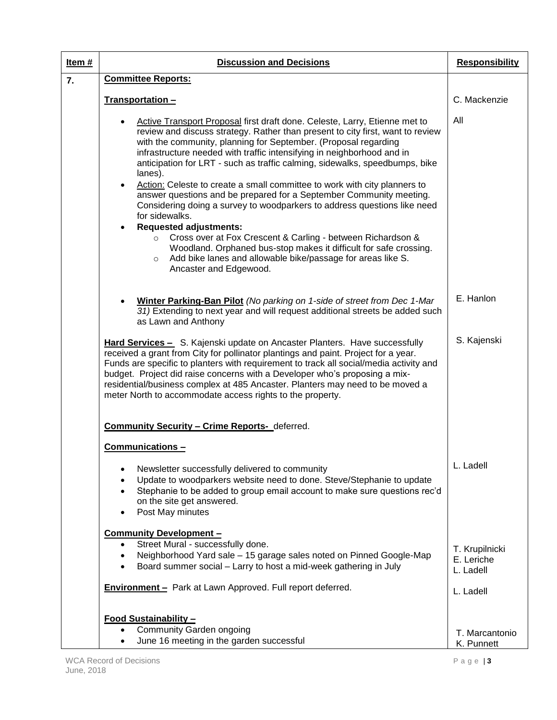| Item# | <b>Discussion and Decisions</b>                                                                                                                                                                                                                                                                                                                                                                                                                                                                                                                                                                                                                                                                                                                                                                                                                                                                                                             | <b>Responsibility</b>                     |
|-------|---------------------------------------------------------------------------------------------------------------------------------------------------------------------------------------------------------------------------------------------------------------------------------------------------------------------------------------------------------------------------------------------------------------------------------------------------------------------------------------------------------------------------------------------------------------------------------------------------------------------------------------------------------------------------------------------------------------------------------------------------------------------------------------------------------------------------------------------------------------------------------------------------------------------------------------------|-------------------------------------------|
| 7.    | <b>Committee Reports:</b>                                                                                                                                                                                                                                                                                                                                                                                                                                                                                                                                                                                                                                                                                                                                                                                                                                                                                                                   |                                           |
|       | Transportation-                                                                                                                                                                                                                                                                                                                                                                                                                                                                                                                                                                                                                                                                                                                                                                                                                                                                                                                             | C. Mackenzie                              |
|       | Active Transport Proposal first draft done. Celeste, Larry, Etienne met to<br>review and discuss strategy. Rather than present to city first, want to review<br>with the community, planning for September. (Proposal regarding<br>infrastructure needed with traffic intensifying in neighborhood and in<br>anticipation for LRT - such as traffic calming, sidewalks, speedbumps, bike<br>lanes).<br>Action: Celeste to create a small committee to work with city planners to<br>$\bullet$<br>answer questions and be prepared for a September Community meeting.<br>Considering doing a survey to woodparkers to address questions like need<br>for sidewalks.<br><b>Requested adjustments:</b><br>Cross over at Fox Crescent & Carling - between Richardson &<br>Woodland. Orphaned bus-stop makes it difficult for safe crossing.<br>Add bike lanes and allowable bike/passage for areas like S.<br>$\circ$<br>Ancaster and Edgewood. | All                                       |
|       | Winter Parking-Ban Pilot (No parking on 1-side of street from Dec 1-Mar<br>31) Extending to next year and will request additional streets be added such<br>as Lawn and Anthony                                                                                                                                                                                                                                                                                                                                                                                                                                                                                                                                                                                                                                                                                                                                                              | E. Hanlon                                 |
|       | Hard Services - S. Kajenski update on Ancaster Planters. Have successfully<br>received a grant from City for pollinator plantings and paint. Project for a year.<br>Funds are specific to planters with requirement to track all social/media activity and<br>budget. Project did raise concerns with a Developer who's proposing a mix-<br>residential/business complex at 485 Ancaster. Planters may need to be moved a<br>meter North to accommodate access rights to the property.                                                                                                                                                                                                                                                                                                                                                                                                                                                      | S. Kajenski                               |
|       | <b>Community Security - Crime Reports-</b> deferred.                                                                                                                                                                                                                                                                                                                                                                                                                                                                                                                                                                                                                                                                                                                                                                                                                                                                                        |                                           |
|       | Communications -<br>Newsletter successfully delivered to community<br>Update to woodparkers website need to done. Steve/Stephanie to update<br>Stephanie to be added to group email account to make sure questions rec'd<br>on the site get answered.<br>Post May minutes                                                                                                                                                                                                                                                                                                                                                                                                                                                                                                                                                                                                                                                                   | L. Ladell                                 |
|       | <b>Community Development-</b><br>Street Mural - successfully done.<br>Neighborhood Yard sale - 15 garage sales noted on Pinned Google-Map<br>Board summer social - Larry to host a mid-week gathering in July                                                                                                                                                                                                                                                                                                                                                                                                                                                                                                                                                                                                                                                                                                                               | T. Krupilnicki<br>E. Leriche<br>L. Ladell |
|       | <b>Environment</b> - Park at Lawn Approved. Full report deferred.<br>Food Sustainability -                                                                                                                                                                                                                                                                                                                                                                                                                                                                                                                                                                                                                                                                                                                                                                                                                                                  | L. Ladell                                 |
|       | <b>Community Garden ongoing</b><br>June 16 meeting in the garden successful                                                                                                                                                                                                                                                                                                                                                                                                                                                                                                                                                                                                                                                                                                                                                                                                                                                                 | T. Marcantonio<br>K. Punnett              |